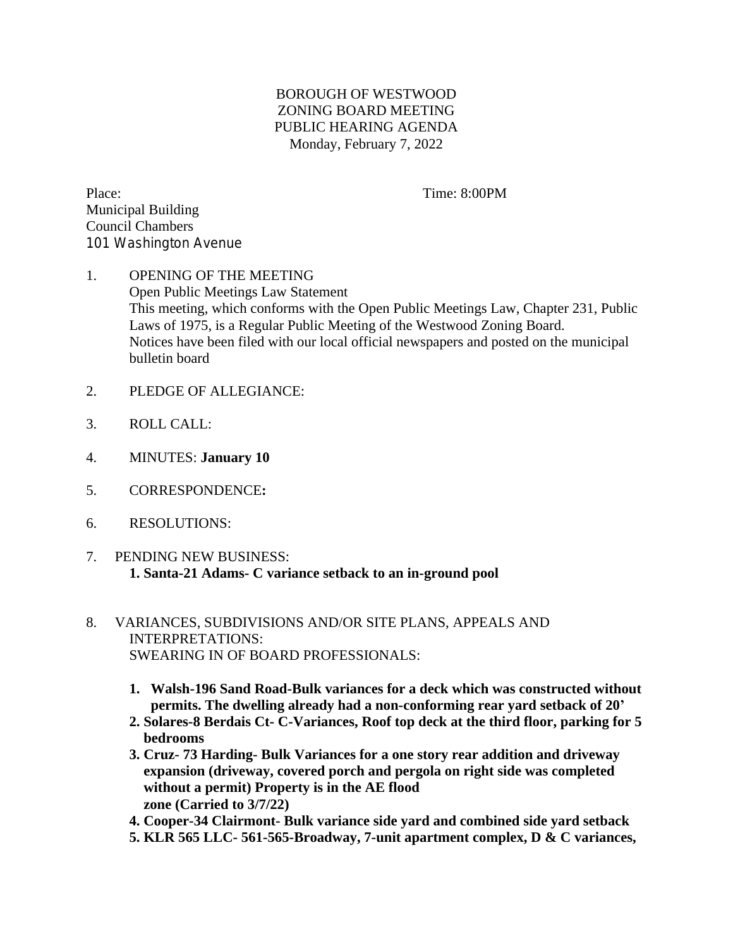## BOROUGH OF WESTWOOD ZONING BOARD MEETING PUBLIC HEARING AGENDA Monday, February 7, 2022

Place: Time: 8:00PM Municipal Building Council Chambers 101 Washington Avenue

## 1. OPENING OF THE MEETING Open Public Meetings Law Statement This meeting, which conforms with the Open Public Meetings Law, Chapter 231, Public Laws of 1975, is a Regular Public Meeting of the Westwood Zoning Board. Notices have been filed with our local official newspapers and posted on the municipal bulletin board

- 2. PLEDGE OF ALLEGIANCE:
- 3. ROLL CALL:
- 4. MINUTES: **January 10**
- 5. CORRESPONDENCE**:**
- 6. RESOLUTIONS:
- 7. PENDING NEW BUSINESS:  **1. Santa-21 Adams- C variance setback to an in-ground pool**
- 8. VARIANCES, SUBDIVISIONS AND/OR SITE PLANS, APPEALS AND INTERPRETATIONS: SWEARING IN OF BOARD PROFESSIONALS:
	- **1. Walsh-196 Sand Road-Bulk variances for a deck which was constructed without permits. The dwelling already had a non-conforming rear yard setback of 20'**
	- **2. Solares-8 Berdais Ct- C-Variances, Roof top deck at the third floor, parking for 5 bedrooms**
	- **3. Cruz- 73 Harding- Bulk Variances for a one story rear addition and driveway expansion (driveway, covered porch and pergola on right side was completed without a permit) Property is in the AE flood zone (Carried to 3/7/22)**
	- **4. Cooper-34 Clairmont- Bulk variance side yard and combined side yard setback**
	- **5. KLR 565 LLC- 561-565-Broadway, 7-unit apartment complex, D & C variances,**